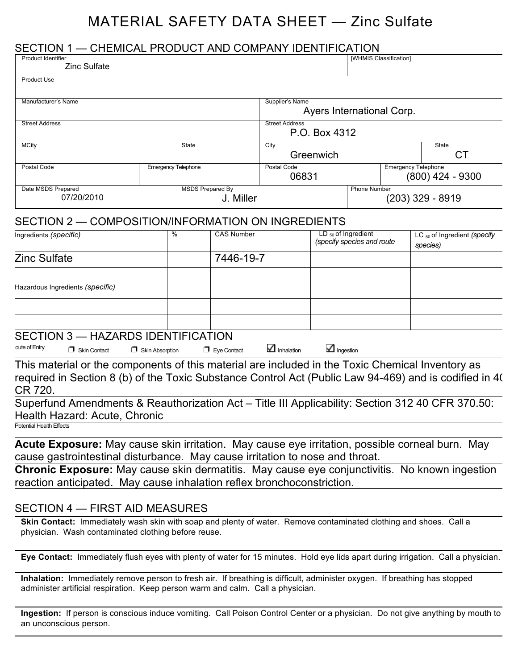# MATERIAL SAFETY DATA SHEET — Zinc Sulfate

#### SECTION 1 — CHEMICAL PRODUCT AND COMPANY IDENTIFICATION

| <b>Product Identifier</b><br><b>Zinc Sulfate</b> |                            |                                      |                                              | [WHMIS Classification] |                            |                    |
|--------------------------------------------------|----------------------------|--------------------------------------|----------------------------------------------|------------------------|----------------------------|--------------------|
| <b>Product Use</b>                               |                            |                                      |                                              |                        |                            |                    |
| Manufacturer's Name                              |                            |                                      | Supplier's Name<br>Ayers International Corp. |                        |                            |                    |
| <b>Street Address</b>                            |                            |                                      | <b>Street Address</b><br>P.O. Box 4312       |                        |                            |                    |
| <b>MCity</b>                                     |                            | <b>State</b>                         | City<br>Greenwich                            |                        |                            | State<br>СT        |
| Postal Code                                      | <b>Emergency Telephone</b> |                                      | Postal Code<br>06831                         |                        | <b>Emergency Telephone</b> | $(800)$ 424 - 9300 |
| Date MSDS Prepared<br>07/20/2010                 |                            | <b>MSDS Prepared By</b><br>J. Miller |                                              | <b>Phone Number</b>    |                            | (203) 329 - 8919   |

#### SECTION 2 — COMPOSITION/INFORMATION ON INGREDIENTS

| Ingredients (specific)                       | % | <b>CAS Number</b> | LD $_{50}$ of Ingredient   | LC $_{50}$ of Ingredient (specify |
|----------------------------------------------|---|-------------------|----------------------------|-----------------------------------|
|                                              |   |                   | (specify species and route | species)                          |
| <b>Zinc Sulfate</b>                          |   | 7446-19-7         |                            |                                   |
|                                              |   |                   |                            |                                   |
| Hazardous Ingredients (specific)             |   |                   |                            |                                   |
|                                              |   |                   |                            |                                   |
|                                              |   |                   |                            |                                   |
| $\Omega$ $\Gamma$ $\Omega$ $\Gamma$ $\Omega$ |   |                   |                            |                                   |

#### SECTION 3 — HAZARDS IDENTIFICATION

oute of Entry □ Skin Contact □ Skin Absorption □ Eye Contact △ Inhalation △ Ingestion

This material or the components of this material are included in the Toxic Chemical Inventory as required in Section 8 (b) of the Toxic Substance Control Act (Public Law 94-469) and is codified in 40 CR 720.

Superfund Amendments & Reauthorization Act – Title III Applicability: Section 312 40 CFR 370.50: Health Hazard: Acute, Chronic

Potential Health Effects

**Acute Exposure:** May cause skin irritation. May cause eye irritation, possible corneal burn. May cause gastrointestinal disturbance. May cause irritation to nose and throat.

**Chronic Exposure:** May cause skin dermatitis. May cause eye conjunctivitis. No known ingestion reaction anticipated. May cause inhalation reflex bronchoconstriction.

#### SECTION 4 — FIRST AID MEASURES

**Skin Contact:** Immediately wash skin with soap and plenty of water. Remove contaminated clothing and shoes. Call a physician. Wash contaminated clothing before reuse.

**Eye Contact:** Immediately flush eyes with plenty of water for 15 minutes. Hold eye lids apart during irrigation. Call a physician.

**Inhalation:** Immediately remove person to fresh air. If breathing is difficult, administer oxygen. If breathing has stopped administer artificial respiration. Keep person warm and calm. Call a physician.

**Ingestion:** If person is conscious induce vomiting. Call Poison Control Center or a physician. Do not give anything by mouth to an unconscious person.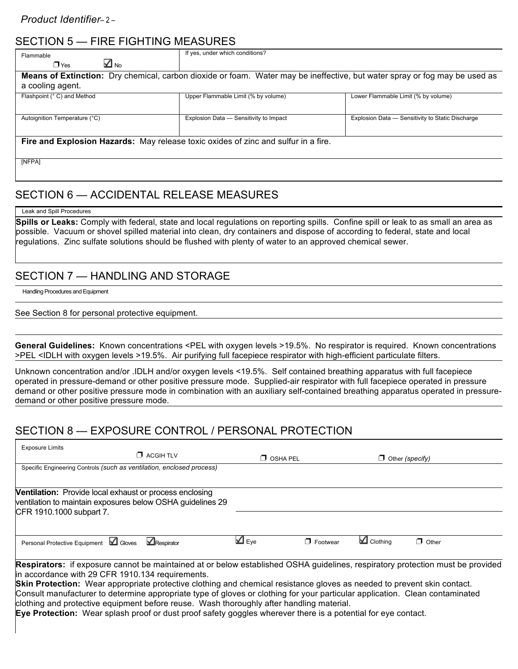## SECTION 5 — FIRE FIGHTING MEASURES

| Flammable<br>⊻ №<br>$\n  T Yes$                                                                                                                | If yes, under which conditions?        |                                                  |  |  |
|------------------------------------------------------------------------------------------------------------------------------------------------|----------------------------------------|--------------------------------------------------|--|--|
| Means of Extinction: Dry chemical, carbon dioxide or foam. Water may be ineffective, but water spray or fog may be used as<br>a cooling agent. |                                        |                                                  |  |  |
| Flashpoint (° C) and Method                                                                                                                    | Upper Flammable Limit (% by volume)    | Lower Flammable Limit (% by volume)              |  |  |
| Autoignition Temperature (°C)                                                                                                                  | Explosion Data - Sensitivity to Impact | Explosion Data - Sensitivity to Static Discharge |  |  |
| Fire and Explosion Hazards: May release toxic oxides of zinc and sulfur in a fire.                                                             |                                        |                                                  |  |  |
| [NFPA]                                                                                                                                         |                                        |                                                  |  |  |

## SECTION 6 — ACCIDENTAL RELEASE MEASURES

#### Leak and Spill Procedures

**Spills or Leaks:** Comply with federal, state and local regulations on reporting spills. Confine spill or leak to as small an area as possible. Vacuum or shovel spilled material into clean, dry containers and dispose of according to federal, state and local regulations. Zinc sulfate solutions should be flushed with plenty of water to an approved chemical sewer.

## SECTION 7 — HANDLING AND STORAGE

Handling Procedures and Equipment

See Section 8 for personal protective equipment.

**General Guidelines:** Known concentrations <PEL with oxygen levels >19.5%. No respirator is required. Known concentrations >PEL <IDLH with oxygen levels >19.5%. Air purifying full facepiece respirator with high-efficient particulate filters.

Unknown concentration and/or .IDLH and/or oxygen levels <19.5%. Self contained breathing apparatus with full facepiece operated in pressure-demand or other positive pressure mode. Supplied-air respirator with full facepiece operated in pressure demand or other positive pressure mode in combination with an auxiliary self-contained breathing apparatus operated in pressuredemand or other positive pressure mode.

## SECTION 8 — EXPOSURE CONTROL / PERSONAL PROTECTION

| <b>Exposure Limits</b>                                                                                                                                                                                                                                                                                                                                                                                                                                                                                                                                                                                                                                                   |                  |                 |                   |                        |              |
|--------------------------------------------------------------------------------------------------------------------------------------------------------------------------------------------------------------------------------------------------------------------------------------------------------------------------------------------------------------------------------------------------------------------------------------------------------------------------------------------------------------------------------------------------------------------------------------------------------------------------------------------------------------------------|------------------|-----------------|-------------------|------------------------|--------------|
|                                                                                                                                                                                                                                                                                                                                                                                                                                                                                                                                                                                                                                                                          | $\Box$ ACGIH TLV | $\Box$ OSHA PEL |                   | $\Box$ Other (specify) |              |
| Specific Engineering Controls (such as ventilation, enclosed process)                                                                                                                                                                                                                                                                                                                                                                                                                                                                                                                                                                                                    |                  |                 |                   |                        |              |
| <b>Ventilation:</b> Provide local exhaust or process enclosing<br>ventilation to maintain exposures below OSHA guidelines 29<br>CFR 1910.1000 subpart 7.                                                                                                                                                                                                                                                                                                                                                                                                                                                                                                                 |                  |                 |                   |                        |              |
| Personal Protective Equipment   Gloves                                                                                                                                                                                                                                                                                                                                                                                                                                                                                                                                                                                                                                   | Respirator       | $\Delta$ Eye    | <b>T</b> Footwear | $\Box$ Clothing        | $\Box$ Other |
| <b>Respirators:</b> if exposure cannot be maintained at or below established OSHA guidelines, respiratory protection must be provided<br>in accordance with 29 CFR 1910.134 requirements.<br><b>Skin Protection:</b> Wear appropriate protective clothing and chemical resistance gloves as needed to prevent skin contact.<br>Consult manufacturer to determine appropriate type of gloves or clothing for your particular application. Clean contaminated<br>clothing and protective equipment before reuse. Wash thoroughly after handling material.<br>Eye Protection: Wear splash proof or dust proof safety goggles wherever there is a potential for eye contact. |                  |                 |                   |                        |              |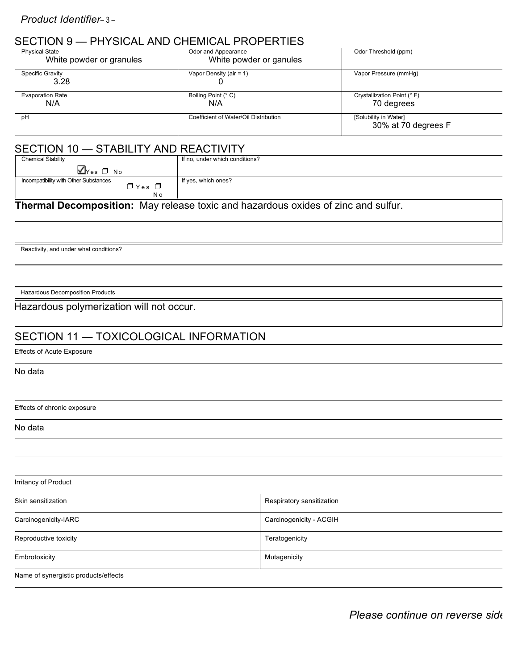## SECTION 9 — PHYSICAL AND CHEMICAL PROPERTIES

| <b>Physical State</b>          | Odor and Appearance                   | Odor Threshold (ppm)                         |
|--------------------------------|---------------------------------------|----------------------------------------------|
| White powder or granules       | White powder or ganules               |                                              |
| Specific Gravity<br>3.28       | Vapor Density (air = $1$ )            | Vapor Pressure (mmHg)                        |
| <b>Evaporation Rate</b><br>N/A | Boiling Point (° C)<br>N/A            | Crystallization Point (° F)<br>70 degrees    |
| pH                             | Coefficient of Water/Oil Distribution | [Solubility in Water]<br>30% at 70 degrees F |

## SECTION 10 - STABILITY AND REACTIVITY

| <b>Chemical Stability</b>                         | If no, under which conditions? |
|---------------------------------------------------|--------------------------------|
| $\Box$ Yes $\Box$ No                              |                                |
| Incompatibility with Other Substances<br>$Ives$ D | If yes, which ones?            |
| N o                                               |                                |

**Thermal Decomposition:** May release toxic and hazardous oxides of zinc and sulfur.

Reactivity, and under what conditions?

Hazardous Decomposition Products

#### Hazardous polymerization will not occur.

### SECTION 11 — TOXICOLOGICAL INFORMATION

Effects of Acute Exposure

No data

Effects of chronic exposure

No data

| Irritancy of Product                 |                           |  |  |  |
|--------------------------------------|---------------------------|--|--|--|
| Skin sensitization                   | Respiratory sensitization |  |  |  |
| Carcinogenicity-IARC                 | Carcinogenicity - ACGIH   |  |  |  |
| Reproductive toxicity                | Teratogenicity            |  |  |  |
| Embrotoxicity                        | Mutagenicity              |  |  |  |
| Name of synergistic products/effects |                           |  |  |  |